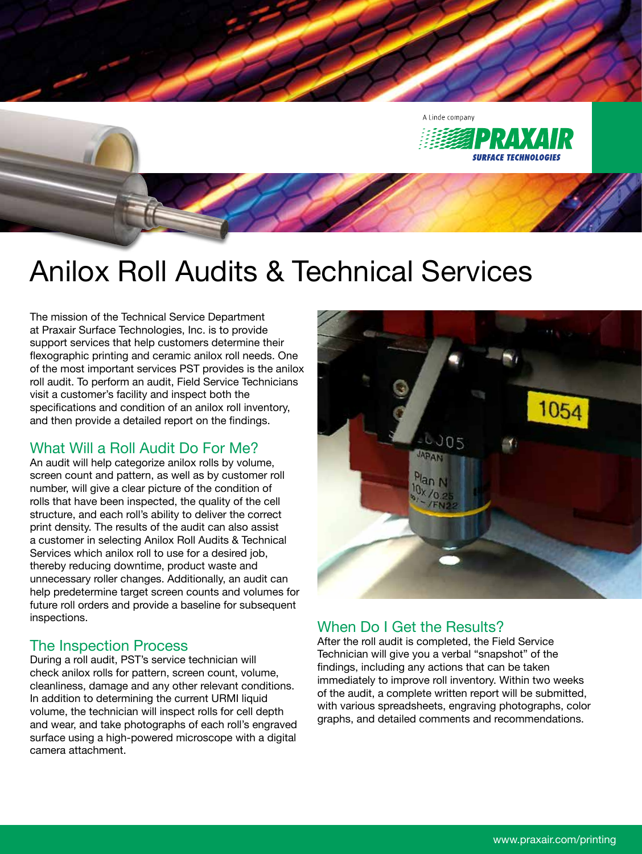

# Anilox Roll Audits & Technical Services

The mission of the Technical Service Department at Praxair Surface Technologies, Inc. is to provide support services that help customers determine their flexographic printing and ceramic anilox roll needs. One of the most important services PST provides is the anilox roll audit. To perform an audit, Field Service Technicians visit a customer's facility and inspect both the specifications and condition of an anilox roll inventory, and then provide a detailed report on the findings.

## What Will a Roll Audit Do For Me?

An audit will help categorize anilox rolls by volume, screen count and pattern, as well as by customer roll number, will give a clear picture of the condition of rolls that have been inspected, the quality of the cell structure, and each roll's ability to deliver the correct print density. The results of the audit can also assist a customer in selecting Anilox Roll Audits & Technical Services which anilox roll to use for a desired job, thereby reducing downtime, product waste and unnecessary roller changes. Additionally, an audit can help predetermine target screen counts and volumes for future roll orders and provide a baseline for subsequent inspections.

# The Inspection Process

During a roll audit, PST's service technician will check anilox rolls for pattern, screen count, volume, cleanliness, damage and any other relevant conditions. In addition to determining the current URMI liquid volume, the technician will inspect rolls for cell depth and wear, and take photographs of each roll's engraved surface using a high-powered microscope with a digital camera attachment.



# When Do I Get the Results?

After the roll audit is completed, the Field Service Technician will give you a verbal "snapshot" of the findings, including any actions that can be taken immediately to improve roll inventory. Within two weeks of the audit, a complete written report will be submitted, with various spreadsheets, engraving photographs, color graphs, and detailed comments and recommendations.